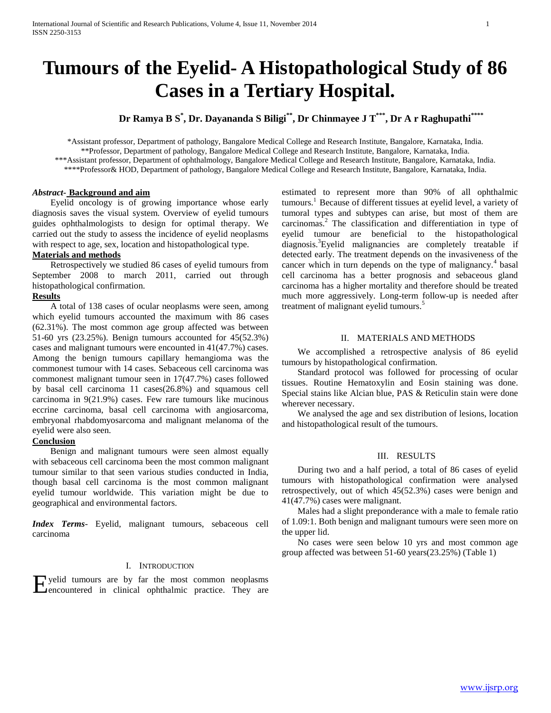# **Tumours of the Eyelid- A Histopathological Study of 86 Cases in a Tertiary Hospital.**

**Dr Ramya B S\* , Dr. Dayananda S Biligi\*\*, Dr Chinmayee J T\*\*\*, Dr A r Raghupathi\*\*\*\***

\*Assistant professor, Department of pathology, Bangalore Medical College and Research Institute, Bangalore, Karnataka, India. \*\*Professor, Department of pathology, Bangalore Medical College and Research Institute, Bangalore, Karnataka, India. \*\*\*Assistant professor, Department of ophthalmology, Bangalore Medical College and Research Institute, Bangalore, Karnataka, India. \*\*\*\*Professor& HOD, Department of pathology, Bangalore Medical College and Research Institute, Bangalore, Karnataka, India.

## *Abstract***- Background and aim**

 Eyelid oncology is of growing importance whose early diagnosis saves the visual system. Overview of eyelid tumours guides ophthalmologists to design for optimal therapy. We carried out the study to assess the incidence of eyelid neoplasms with respect to age, sex, location and histopathological type.

### **Materials and methods**

 Retrospectively we studied 86 cases of eyelid tumours from September 2008 to march 2011, carried out through histopathological confirmation.

#### **Results**

 A total of 138 cases of ocular neoplasms were seen, among which eyelid tumours accounted the maximum with 86 cases (62.31%). The most common age group affected was between 51-60 yrs (23.25%). Benign tumours accounted for 45(52.3%) cases and malignant tumours were encounted in 41(47.7%) cases. Among the benign tumours capillary hemangioma was the commonest tumour with 14 cases. Sebaceous cell carcinoma was commonest malignant tumour seen in 17(47.7%) cases followed by basal cell carcinoma 11 cases(26.8%) and squamous cell carcinoma in 9(21.9%) cases. Few rare tumours like mucinous eccrine carcinoma, basal cell carcinoma with angiosarcoma, embryonal rhabdomyosarcoma and malignant melanoma of the eyelid were also seen.

# **Conclusion**

 Benign and malignant tumours were seen almost equally with sebaceous cell carcinoma been the most common malignant tumour similar to that seen various studies conducted in India, though basal cell carcinoma is the most common malignant eyelid tumour worldwide. This variation might be due to geographical and environmental factors.

*Index Terms*- Eyelid, malignant tumours, sebaceous cell carcinoma

#### I. INTRODUCTION

Expedid tumours are by far the most common neoplasms<br>
encountered in clinical ophthalmic practice. They are **Pencountered in clinical ophthalmic practice. They are** 

estimated to represent more than 90% of all ophthalmic tumours.<sup>1</sup> Because of different tissues at eyelid level, a variety of tumoral types and subtypes can arise, but most of them are carcinomas.<sup>2</sup> The classification and differentiation in type of eyelid tumour are beneficial to the histopathological diagnosis.<sup>3</sup>Eyelid malignancies are completely treatable if detected early. The treatment depends on the invasiveness of the cancer which in turn depends on the type of malignancy.<sup>4</sup> basal cell carcinoma has a better prognosis and sebaceous gland carcinoma has a higher mortality and therefore should be treated much more aggressively. Long-term follow-up is needed after treatment of malignant eyelid tumours.<sup>5</sup>

#### II. MATERIALS AND METHODS

 We accomplished a retrospective analysis of 86 eyelid tumours by histopathological confirmation.

 Standard protocol was followed for processing of ocular tissues. Routine Hematoxylin and Eosin staining was done. Special stains like Alcian blue, PAS & Reticulin stain were done wherever necessary.

 We analysed the age and sex distribution of lesions, location and histopathological result of the tumours.

# III. RESULTS

 During two and a half period, a total of 86 cases of eyelid tumours with histopathological confirmation were analysed retrospectively, out of which 45(52.3%) cases were benign and 41(47.7%) cases were malignant.

 Males had a slight preponderance with a male to female ratio of 1.09:1. Both benign and malignant tumours were seen more on the upper lid.

 No cases were seen below 10 yrs and most common age group affected was between 51-60 years(23.25%) (Table 1)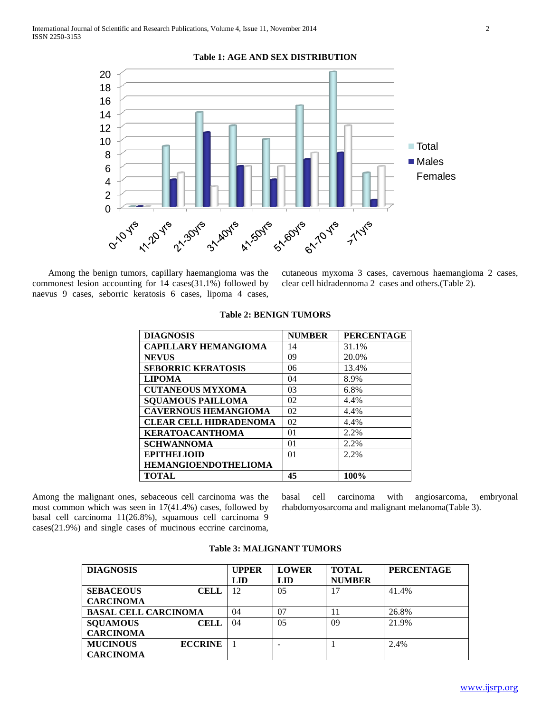

**Table 1: AGE AND SEX DISTRIBUTION**

 Among the benign tumors, capillary haemangioma was the commonest lesion accounting for 14 cases(31.1%) followed by naevus 9 cases, seborric keratosis 6 cases, lipoma 4 cases,

cutaneous myxoma 3 cases, cavernous haemangioma 2 cases, clear cell hidradennoma 2 cases and others.(Table 2).

| <b>DIAGNOSIS</b>              | <b>NUMBER</b>  | <b>PERCENTAGE</b> |
|-------------------------------|----------------|-------------------|
| <b>CAPILLARY HEMANGIOMA</b>   | 14             | 31.1%             |
| <b>NEVUS</b>                  | 09             | 20.0%             |
| <b>SEBORRIC KERATOSIS</b>     | 06             | 13.4%             |
| <b>LIPOMA</b>                 | 04             | 8.9%              |
| <b>CUTANEOUS MYXOMA</b>       | 03             | 6.8%              |
| <b>SQUAMOUS PAILLOMA</b>      | 02             | 4.4%              |
| <b>CAVERNOUS HEMANGIOMA</b>   | 02             | 4.4%              |
| <b>CLEAR CELL HIDRADENOMA</b> | 02             | 4.4%              |
| <b>KERATOACANTHOMA</b>        | 01             | 2.2%              |
| <b>SCHWANNOMA</b>             | 01             | 2.2%              |
| <b>EPITHELIOID</b>            | 0 <sup>1</sup> | $2.2\%$           |
| <b>HEMANGIOENDOTHELIOMA</b>   |                |                   |
| <b>TOTAL</b>                  | 45             | 100%              |

# **Table 2: BENIGN TUMORS**

Among the malignant ones, sebaceous cell carcinoma was the most common which was seen in 17(41.4%) cases, followed by basal cell carcinoma 11(26.8%), squamous cell carcinoma 9 cases(21.9%) and single cases of mucinous eccrine carcinoma,

basal cell carcinoma with angiosarcoma, embryonal rhabdomyosarcoma and malignant melanoma(Table 3).

| <b>DIAGNOSIS</b>                  | <b>UPPER</b> | <b>LOWER</b> | <b>TOTAL</b>  | <b>PERCENTAGE</b> |
|-----------------------------------|--------------|--------------|---------------|-------------------|
|                                   | LID          | <b>LID</b>   | <b>NUMBER</b> |                   |
| <b>SEBACEOUS</b><br>CELL          | 12           | 05           |               | 41.4%             |
| <b>CARCINOMA</b>                  |              |              |               |                   |
| <b>BASAL CELL CARCINOMA</b>       | 04           | 07           | 11            | 26.8%             |
| <b>SQUAMOUS</b><br><b>CELL</b>    | 04           | 05           | 09            | 21.9%             |
| <b>CARCINOMA</b>                  |              |              |               |                   |
| <b>MUCINOUS</b><br><b>ECCRINE</b> |              |              |               | 2.4%              |
| <b>CARCINOMA</b>                  |              |              |               |                   |

#### **Table 3: MALIGNANT TUMORS**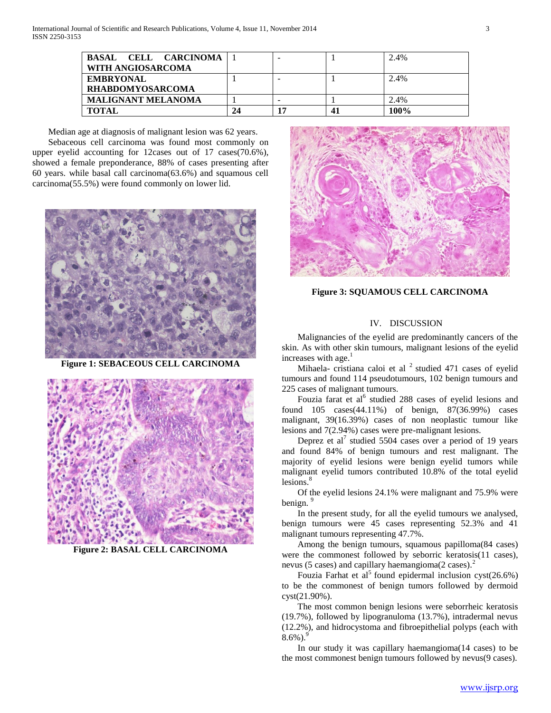| BASAL CELL CARCINOMA<br>WITH ANGIOSARCOMA   |    | $\overline{\phantom{a}}$ | 2.4% |
|---------------------------------------------|----|--------------------------|------|
| <b>EMBRYONAL</b><br><b>RHABDOMYOSARCOMA</b> |    | $\overline{\phantom{a}}$ | 2.4% |
| <b>MALIGNANT MELANOMA</b>                   |    | -                        | 2.4% |
| <b>TOTAL</b>                                | 24 |                          | 100% |

 Median age at diagnosis of malignant lesion was 62 years. Sebaceous cell carcinoma was found most commonly on upper eyelid accounting for 12cases out of 17 cases(70.6%), showed a female preponderance, 88% of cases presenting after 60 years. while basal call carcinoma(63.6%) and squamous cell carcinoma(55.5%) were found commonly on lower lid.



**Figure 1: SEBACEOUS CELL CARCINOMA**



**Figure 2: BASAL CELL CARCINOMA**



**Figure 3: SQUAMOUS CELL CARCINOMA**

#### IV. DISCUSSION

 Malignancies of the eyelid are predominantly cancers of the skin. As with other skin tumours, malignant lesions of the eyelid increases with age. $<sup>1</sup>$ </sup>

Mihaela- cristiana caloi et al  $2$  studied 471 cases of eyelid tumours and found 114 pseudotumours, 102 benign tumours and 225 cases of malignant tumours.

Fouzia farat et al<sup>6</sup> studied 288 cases of eyelid lesions and found 105 cases(44.11%) of benign, 87(36.99%) cases malignant, 39(16.39%) cases of non neoplastic tumour like lesions and 7(2.94%) cases were pre-malignant lesions.

Deprez et al<sup>7</sup> studied 5504 cases over a period of 19 years and found 84% of benign tumours and rest malignant. The majority of eyelid lesions were benign eyelid tumors while malignant eyelid tumors contributed 10.8% of the total eyelid lesions.<sup>8</sup>

 Of the eyelid lesions 24.1% were malignant and 75.9% were benign.<sup>9</sup>

 In the present study, for all the eyelid tumours we analysed, benign tumours were 45 cases representing 52.3% and 41 malignant tumours representing 47.7%.

 Among the benign tumours, squamous papilloma(84 cases) were the commonest followed by seborric keratosis(11 cases), nevus (5 cases) and capillary haemangioma $(2 \csc^2)$ .

Fouzia Farhat et al<sup>5</sup> found epidermal inclusion cyst(26.6%) to be the commonest of benign tumors followed by dermoid cyst(21.90%).

 The most common benign lesions were seborrheic keratosis (19.7%), followed by lipogranuloma (13.7%), intradermal nevus (12.2%), and hidrocystoma and fibroepithelial polyps (each with  $8.6\%$ ).

 In our study it was capillary haemangioma(14 cases) to be the most commonest benign tumours followed by nevus(9 cases).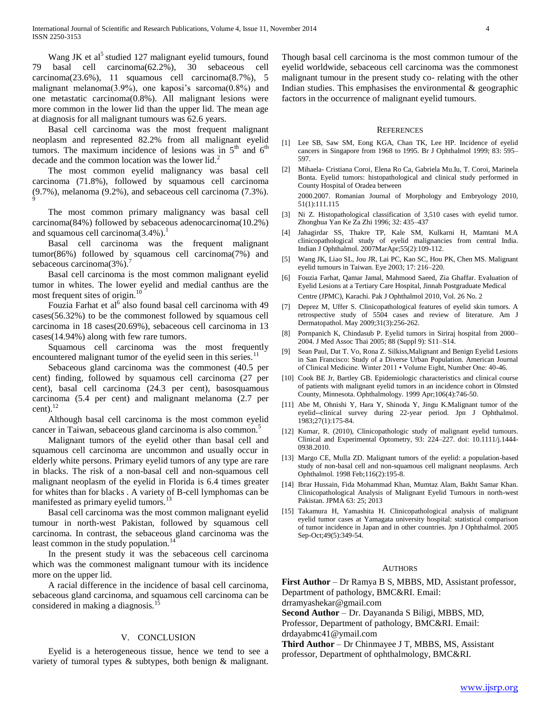Wang JK et al<sup>3</sup> studied 127 malignant eyelid tumours, found 79 basal cell carcinoma(62.2%), 30 sebaceous cell carcinoma(23.6%), 11 squamous cell carcinoma(8.7%), 5 malignant melanoma(3.9%), one kaposi's sarcoma(0.8%) and one metastatic carcinoma(0.8%). All malignant lesions were more common in the lower lid than the upper lid. The mean age at diagnosis for all malignant tumours was 62.6 years.

 Basal cell carcinoma was the most frequent malignant neoplasm and represented 82.2% from all malignant eyelid tumors. The maximum incidence of lesions was in  $5<sup>th</sup>$  and  $6<sup>th</sup>$ decade and the common location was the lower  $lid.<sup>2</sup>$ 

 The most common eyelid malignancy was basal cell carcinoma (71.8%), followed by squamous cell carcinoma (9.7%), melanoma (9.2%), and sebaceous cell carcinoma (7.3%). 9

 The most common primary malignancy was basal cell carcinoma(84%) followed by sebaceous adenocarcinoma(10.2%) and squamous cell carcinoma $(3.4\%)$ .

 Basal cell carcinoma was the frequent malignant tumor(86%) followed by squamous cell carcinoma(7%) and sebaceous carcinoma $(3\%)$ .

 Basal cell carcinoma is the most common malignant eyelid tumor in whites. The lower eyelid and medial canthus are the most frequent sites of origin.<sup>10</sup>

Fouzia Farhat et al<sup>6</sup> also found basal cell carcinoma with 49 cases(56.32%) to be the commonest followed by squamous cell carcinoma in 18 cases(20.69%), sebaceous cell carcinoma in 13 cases(14.94%) along with few rare tumors.

 Squamous cell carcinoma was the most frequently encountered malignant tumor of the eyelid seen in this series.<sup>11</sup>

 Sebaceous gland carcinoma was the commonest (40.5 per cent) finding, followed by squamous cell carcinoma (27 per cent), basal cell carcinoma (24.3 per cent), basosquamous carcinoma (5.4 per cent) and malignant melanoma (2.7 per cent). $^{12}$ 

 Although basal cell carcinoma is the most common eyelid cancer in Taiwan, sebaceous gland carcinoma is also common.<sup>5</sup>

 Malignant tumors of the eyelid other than basal cell and squamous cell carcinoma are uncommon and usually occur in elderly white persons. Primary eyelid tumors of any type are rare in blacks. The risk of a non-basal cell and non-squamous cell malignant neoplasm of the eyelid in Florida is 6.4 times greater for whites than for blacks . A variety of B-cell lymphomas can be manifested as primary eyelid tumors.<sup>13</sup>

 Basal cell carcinoma was the most common malignant eyelid tumour in north-west Pakistan, followed by squamous cell carcinoma. In contrast, the sebaceous gland carcinoma was the least common in the study population.<sup>14</sup>

 In the present study it was the sebaceous cell carcinoma which was the commonest malignant tumour with its incidence more on the upper lid.

 A racial difference in the incidence of basal cell carcinoma, sebaceous gland carcinoma, and squamous cell carcinoma can be considered in making a diagnosis.<sup>1</sup>

#### V. CONCLUSION

 Eyelid is a heterogeneous tissue, hence we tend to see a variety of tumoral types & subtypes, both benign & malignant.

Though basal cell carcinoma is the most common tumour of the eyelid worldwide, sebaceous cell carcinoma was the commonest malignant tumour in the present study co- relating with the other Indian studies. This emphasises the environmental  $\&$  geographic factors in the occurrence of malignant eyelid tumours.

#### **REFERENCES**

- [1] Lee SB, Saw SM, Eong KGA, Chan TK, Lee HP. Incidence of eyelid cancers in Singapore from 1968 to 1995. Br J Ophthalmol 1999; 83: 595– 597.
- [2] Mihaela- Cristiana Coroi, Elena Ro Ca, Gabriela Mu.Iu, T. Coroi, Marinela Bonta. Eyelid tumors: histopathological and clinical study performed in County Hospital of Oradea between 2000.2007. Romanian Journal of Morphology and Embryology 2010, 51(1):111.115
- [3] Ni Z. Histopathological classification of 3,510 cases with eyelid tumor. Zhonghua Yan Ke Za Zhi 1996; 32: 435–437
- [4] Jahagirdar SS, Thakre TP, Kale SM, Kulkarni H, Mamtani M.A clinicopathological study of eyelid malignancies from central India. Indian J Ophthalmol. 2007MarApr;55(2):109-112.
- [5] Wang JK, Liao SL, Jou JR, Lai PC, Kao SC, Hou PK, Chen MS. Malignant eyelid tumours in Taiwan. Eye 2003; 17: 216–220.
- [6] Fouzia Farhat, Qamar Jamal, Mahmood Saeed, Zia Ghaffar. Evaluation of Eyelid Lesions at a Tertiary Care Hospital, Jinnah Postgraduate Medical Centre (JPMC), Karachi. Pak J Ophthalmol 2010, Vol. 26 No. 2
- [7] Deprez M, Uffer S. Clinicopathological features of eyelid skin tumors. A retrospective study of 5504 cases and review of literature. Am J Dermatopathol. May 2009;31(3):256-262.
- [8] Pornpanich K, Chindasub P. Eyelid tumors in Siriraj hospital from 2000– 2004. J Med Assoc Thai 2005; 88 (Suppl 9): S11–S14.
- [9] Sean Paul, Dat T. Vo, Rona Z. Silkiss,Malignant and Benign Eyelid Lesions in San Francisco: Study of a Diverse Urban Population. American Journal of Clinical Medicine. Winter 2011 • Volume Eight, Number One: 40-46.
- [10] Cook BE Jr, Bartley GB. Epidemiologic characteristics and clinical course of patients with malignant eyelid tumors in an incidence cohort in Olmsted County, Minnesota. Ophthalmology. 1999 Apr;106(4):746-50.
- [11] Abe M, Ohnishi Y, Hara Y, Shinoda Y, Jingu K.Malignant tumor of the eyelid--clinical survey during 22-year period. Jpn J Ophthalmol. 1983;27(1):175-84.
- [12] Kumar, R. (2010), Clinicopathologic study of malignant eyelid tumours. Clinical and Experimental Optometry, 93: 224–227. doi: 10.1111/j.1444- 0938.2010.
- [13] Margo CE, Mulla ZD. Malignant tumors of the eyelid: a population-based study of non-basal cell and non-squamous cell malignant neoplasms. Arch Ophthalmol. 1998 Feb;116(2):195-8.
- [14] Ibrar Hussain, Fida Mohammad Khan, Mumtaz Alam, Bakht Samar Khan. Clinicopathological Analysis of Malignant Eyelid Tumours in north-west Pakistan. JPMA 63: 25; 2013
- [15] Takamura H, Yamashita H. Clinicopathological analysis of malignant eyelid tumor cases at Yamagata university hospital: statistical comparison of tumor incidence in Japan and in other countries. Jpn J Ophthalmol. 2005 Sep-Oct;49(5):349-54.

#### AUTHORS

**First Author** – Dr Ramya B S, MBBS, MD, Assistant professor, Department of pathology, BMC&RI. Email:

drramyashekar@gmail.com

**Second Author** – Dr. Dayananda S Biligi, MBBS, MD,

Professor, Department of pathology, BMC&RI. Email: drdayabmc41@ymail.com

**Third Author** – Dr Chinmayee J T, MBBS, MS, Assistant professor, Department of ophthalmology, BMC&RI.